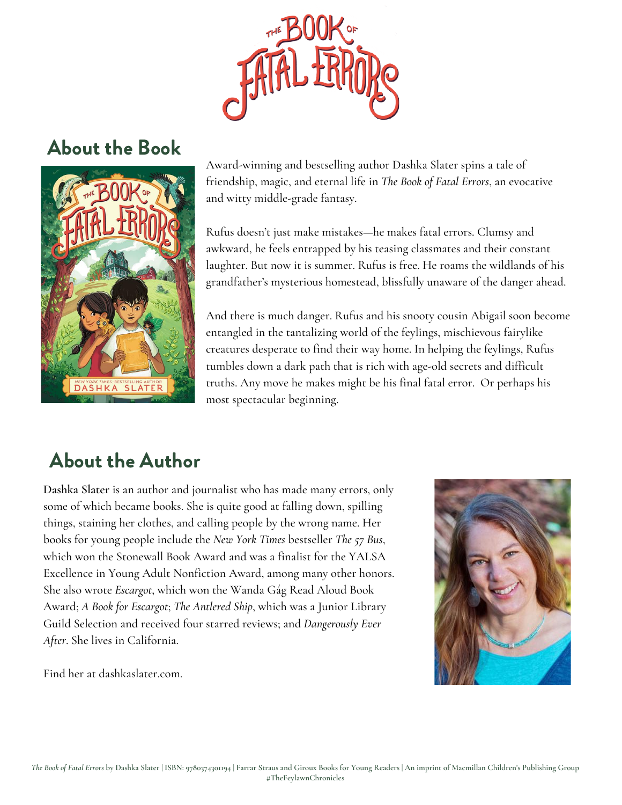

### About the Book



Award-winning and bestselling author Dashka Slater spins a tale of friendship, magic, and eternal life in *The Book of Fatal Errors*, an evocative and witty middle-grade fantasy.

Rufus doesn't just make mistakes—he makes fatal errors. Clumsy and awkward, he feels entrapped by his teasing classmates and their constant laughter. But now it is summer. Rufus is free. He roams the wildlands of his grandfather's mysterious homestead, blissfully unaware of the danger ahead.

And there is much danger. Rufus and his snooty cousin Abigail soon become entangled in the tantalizing world of the feylings, mischievous fairylike creatures desperate to find their way home. In helping the feylings, Rufus tumbles down a dark path that is rich with age-old secrets and difficult truths. Any move he makes might be his final fatal error. Or perhaps his most spectacular beginning.

## About the Author

**Dashka Slater** is an author and journalist who has made many errors, only some of which became books. She is quite good at falling down, spilling things, staining her clothes, and calling people by the wrong name. Her books for young people include the *New York Times* bestseller *The 57 Bus*, which won the Stonewall Book Award and was a finalist for the YALSA Excellence in Young Adult Nonfiction Award, among many other honors. She also wrote *Escargot*, which won the Wanda Gág Read Aloud Book Award; *A Book for Escargot*; *The Antlered Ship*, which was a Junior Library Guild Selection and received four starred reviews; and *Dangerously Ever After*. She lives in California.

Find her at dashkaslater.com.

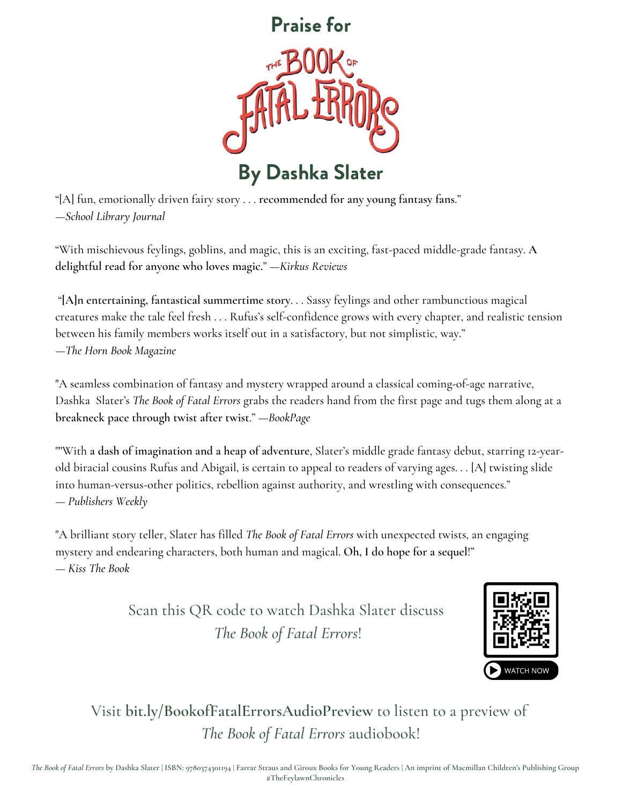

"[A] fun, emotionally driven fairy story . . . **recommended for any young fantasy fans**." —*School Library Journal*

"With mischievous feylings, goblins, and magic, this is an exciting, fast-paced middle-grade fantasy. **A delightful read for anyone who loves magic.**" —*Kirkus Reviews*

"**[A]n entertaining, fantastical summertime story**. . . Sassy feylings and other rambunctious magical creatures make the tale feel fresh . . . Rufus's self-confidence grows with every chapter, and realistic tension between his family members works itself out in a satisfactory, but not simplistic, way." —*The Horn Book Magazine*

"A seamless combination of fantasy and mystery wrapped around a classical coming-of-age narrative, Dashka Slater's *The Book of Fatal Errors* grabs the readers hand from the first page and tugs them along at a **breakneck pace through twist after twist**." —*BookPage*

""With **a dash of imagination and a heap of adventure**, Slater's middle grade fantasy debut, starring 12-yearold biracial cousins Rufus and Abigail, is certain to appeal to readers of varying ages. . . [A] twisting slide into human-versus-other politics, rebellion against authority, and wrestling with consequences." — *Publishers Weekly*

"A brilliant story teller, Slater has filled *The Book of Fatal Errors* with unexpected twists, an engaging mystery and endearing characters, both human and magical. **Oh, I do hope for a sequel**!" — *Kiss The Book*

> Scan this QR code to watch Dashka Slater discuss *The Book of Fatal Errors*!



Visit **bit.ly/BookofFatalErrorsAudioPreview** to listen to a preview of *The Book of Fatal Errors* audiobook!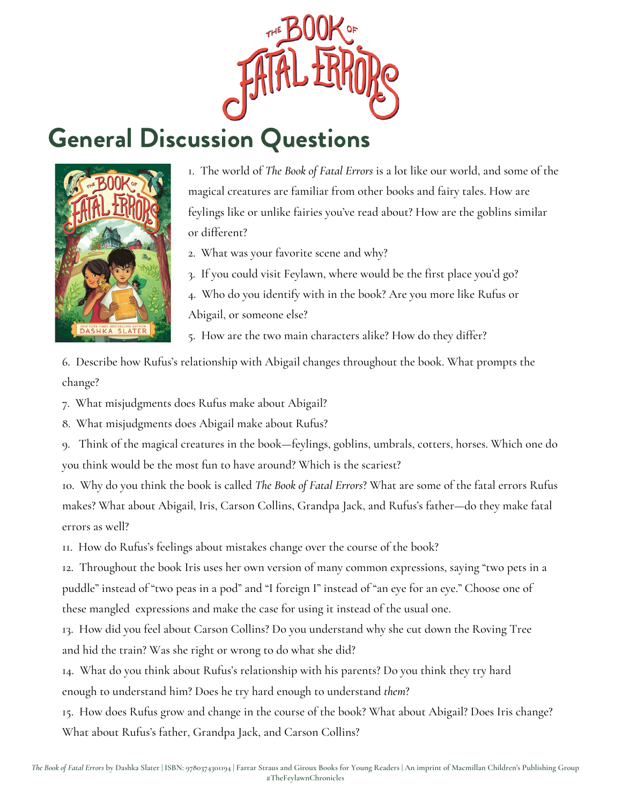

## General Discussion Questions



1. The world of *The Book of Fatal Errors* is a lot like our world, and some of the magical creatures are familiar from other books and fairy tales. How are feylings like or unlike fairies you've read about? How are the goblins similar or different?

- 2. What was your favorite scene and why?
- 3. If you could visit Feylawn, where would be the first place you'd go?

4. Who do you identify with in the book? Are you more like Rufus or Abigail, or someone else?

5. How are the two main characters alike? How do they differ?

6. Describe how Rufus's relationship with Abigail changes throughout the book. What prompts the change?

7. What misjudgments does Rufus make about Abigail?

8. What misjudgments does Abigail make about Rufus?

9. Think of the magical creatures in the book—feylings, goblins, umbrals, cotters, horses. Which one do you think would be the most fun to have around? Which is the scariest?

10. Why do you think the book is called *The Book of Fatal Errors*? What are some of the fatal errors Rufus makes? What about Abigail, Iris, Carson Collins, Grandpa Jack, and Rufus's father—do they make fatal errors as well?

11. How do Rufus's feelings about mistakes change over the course of the book?

12. Throughout the book Iris uses her own version of many common expressions, saying "two pets in a puddle" instead of "two peas in a pod" and "I foreign I" instead of "an eye for an eye." Choose one of these mangled expressions and make the case for using it instead of the usual one.

13. How did you feel about Carson Collins? Do you understand why she cut down the Roving Tree and hid the train? Was she right or wrong to do what she did?

14. What do you think about Rufus's relationship with his parents? Do you think they try hard enough to understand him? Does he try hard enough to understand *them*?

15. How does Rufus grow and change in the course of the book? What about Abigail? Does Iris change? What about Rufus's father, Grandpa Jack, and Carson Collins?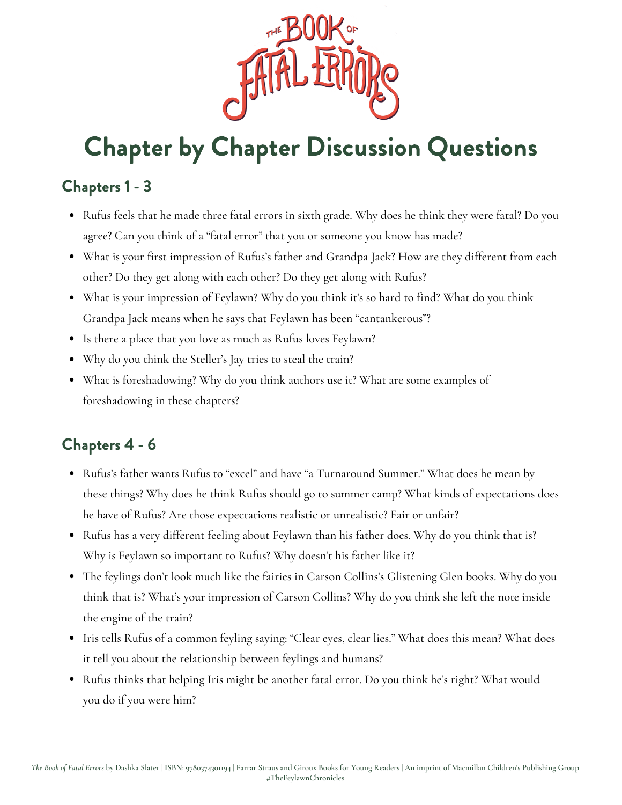

#### Chapters 1 - 3

- Rufus feels that he made three fatal errors in sixth grade. Why does he think they were fatal? Do you agree? Can you think of a "fatal error" that you or someone you know has made?
- What is your first impression of Rufus's father and Grandpa Jack? How are they different from each other? Do they get along with each other? Do they get along with Rufus?
- What is your impression of Feylawn? Why do you think it's so hard to find? What do you think Grandpa Jack means when he says that Feylawn has been "cantankerous"?
- Is there a place that you love as much as Rufus loves Feylawn?
- Why do you think the Steller's Jay tries to steal the train?
- What is foreshadowing? Why do you think authors use it? What are some examples of foreshadowing in these chapters?

#### Chapters 4 - 6

- Rufus's father wants Rufus to "excel" and have "a Turnaround Summer." What does he mean by these things? Why does he think Rufus should go to summer camp? What kinds of expectations does he have of Rufus? Are those expectations realistic or unrealistic? Fair or unfair?
- Rufus has a very different feeling about Feylawn than his father does. Why do you think that is? Why is Feylawn so important to Rufus? Why doesn't his father like it?
- The feylings don't look much like the fairies in Carson Collins's Glistening Glen books. Why do you think that is? What's your impression of Carson Collins? Why do you think she left the note inside the engine of the train?
- Iris tells Rufus of a common feyling saying: "Clear eyes, clear lies." What does this mean? What does it tell you about the relationship between feylings and humans?
- Rufus thinks that helping Iris might be another fatal error. Do you think he's right? What would you do if you were him?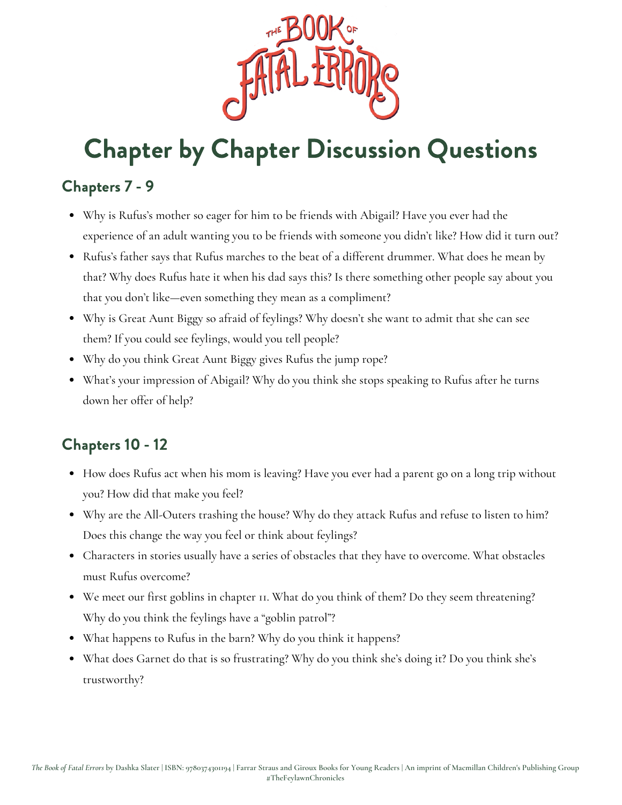

#### Chapters 7 - 9

- Why is Rufus's mother so eager for him to be friends with Abigail? Have you ever had the experience of an adult wanting you to be friends with someone you didn't like? How did it turn out?
- Rufus's father says that Rufus marches to the beat of a different drummer. What does he mean by that? Why does Rufus hate it when his dad says this? Is there something other people say about you that you don't like—even something they mean as a compliment?
- Why is Great Aunt Biggy so afraid of feylings? Why doesn't she want to admit that she can see them? If you could see feylings, would you tell people?
- Why do you think Great Aunt Biggy gives Rufus the jump rope?
- What's your impression of Abigail? Why do you think she stops speaking to Rufus after he turns down her offer of help?

#### Chapters 10 - 12

- How does Rufus act when his mom is leaving? Have you ever had a parent go on a long trip without you? How did that make you feel?
- Why are the All-Outers trashing the house? Why do they attack Rufus and refuse to listen to him? Does this change the way you feel or think about feylings?
- Characters in stories usually have a series of obstacles that they have to overcome. What obstacles must Rufus overcome?
- We meet our first goblins in chapter 11. What do you think of them? Do they seem threatening? Why do you think the feylings have a "goblin patrol"?
- What happens to Rufus in the barn? Why do you think it happens?
- What does Garnet do that is so frustrating? Why do you think she's doing it? Do you think she's trustworthy?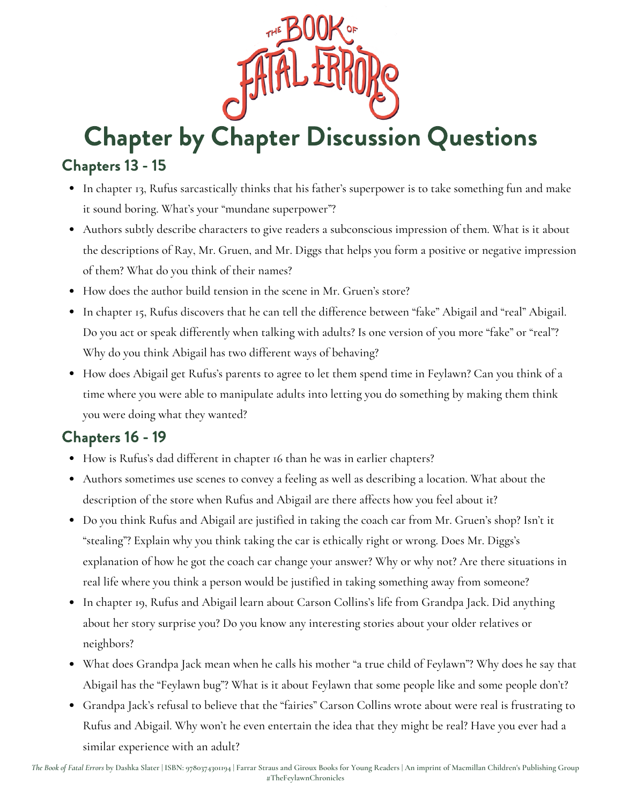

#### Chapters 13 - 15

- In chapter 13, Rufus sarcastically thinks that his father's superpower is to take something fun and make it sound boring. What's your "mundane superpower"?
- Authors subtly describe characters to give readers a subconscious impression of them. What is it about the descriptions of Ray, Mr. Gruen, and Mr. Diggs that helps you form a positive or negative impression of them? What do you think of their names?
- How does the author build tension in the scene in Mr. Gruen's store?
- In chapter 15, Rufus discovers that he can tell the difference between "fake" Abigail and "real" Abigail. Do you act or speak differently when talking with adults? Is one version of you more "fake" or "real"? Why do you think Abigail has two different ways of behaving?
- How does Abigail get Rufus's parents to agree to let them spend time in Feylawn? Can you think of a time where you were able to manipulate adults into letting you do something by making them think you were doing what they wanted?

#### Chapters 16 - 19

- How is Rufus's dad different in chapter 16 than he was in earlier chapters?
- Authors sometimes use scenes to convey a feeling as well as describing a location. What about the description of the store when Rufus and Abigail are there affects how you feel about it?
- Do you think Rufus and Abigail are justified in taking the coach car from Mr. Gruen's shop? Isn't it "stealing"? Explain why you think taking the car is ethically right or wrong. Does Mr. Diggs's explanation of how he got the coach car change your answer? Why or why not? Are there situations in real life where you think a person would be justified in taking something away from someone?
- In chapter 19, Rufus and Abigail learn about Carson Collins's life from Grandpa Jack. Did anything about her story surprise you? Do you know any interesting stories about your older relatives or neighbors?
- What does Grandpa Jack mean when he calls his mother "a true child of Feylawn"? Why does he say that Abigail has the "Feylawn bug"? What is it about Feylawn that some people like and some people don't?
- Grandpa Jack's refusal to believe that the "fairies" Carson Collins wrote about were real is frustrating to Rufus and Abigail. Why won't he even entertain the idea that they might be real? Have you ever had a similar experience with an adult?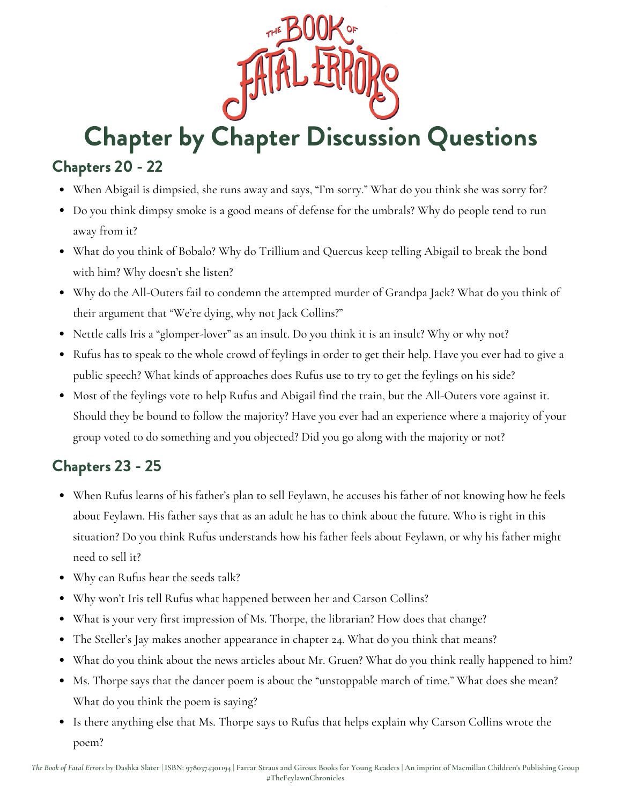

#### Chapters 20 - 22

- When Abigail is dimpsied, she runs away and says, "I'm sorry." What do you think she was sorry for?
- Do you think dimpsy smoke is a good means of defense for the umbrals? Why do people tend to run away from it?
- What do you think of Bobalo? Why do Trillium and Quercus keep telling Abigail to break the bond with him? Why doesn't she listen?
- Why do the All-Outers fail to condemn the attempted murder of Grandpa Jack? What do you think of their argument that "We're dying, why not Jack Collins?"
- Nettle calls Iris a "glomper-lover" as an insult. Do you think it is an insult? Why or why not?
- Rufus has to speak to the whole crowd of feylings in order to get their help. Have you ever had to give a public speech? What kinds of approaches does Rufus use to try to get the feylings on his side?
- Most of the feylings vote to help Rufus and Abigail find the train, but the All-Outers vote against it. Should they be bound to follow the majority? Have you ever had an experience where a majority of your group voted to do something and you objected? Did you go along with the majority or not?

#### Chapters 23 - 25

- When Rufus learns of his father's plan to sell Feylawn, he accuses his father of not knowing how he feels about Feylawn. His father says that as an adult he has to think about the future. Who is right in this situation? Do you think Rufus understands how his father feels about Feylawn, or why his father might need to sell it?
- Why can Rufus hear the seeds talk?
- Why won't Iris tell Rufus what happened between her and Carson Collins?
- What is your very first impression of Ms. Thorpe, the librarian? How does that change?
- The Steller's Jay makes another appearance in chapter 24. What do you think that means?
- What do you think about the news articles about Mr. Gruen? What do you think really happened to him?
- Ms. Thorpe says that the dancer poem is about the "unstoppable march of time." What does she mean? What do you think the poem is saying?
- Is there anything else that Ms. Thorpe says to Rufus that helps explain why Carson Collins wrote the poem?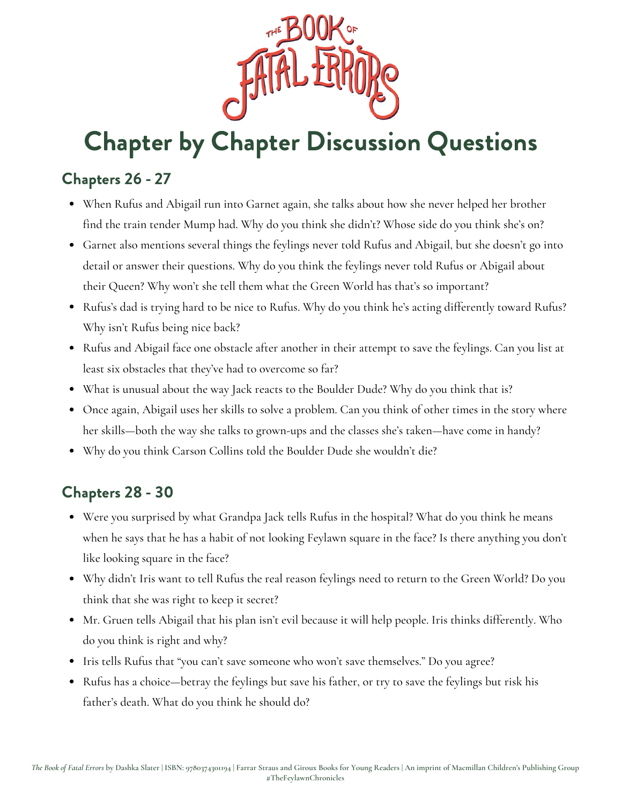

#### Chapters 26 - 27

- When Rufus and Abigail run into Garnet again, she talks about how she never helped her brother find the train tender Mump had. Why do you think she didn't? Whose side do you think she's on?
- Garnet also mentions several things the feylings never told Rufus and Abigail, but she doesn't go into detail or answer their questions. Why do you think the feylings never told Rufus or Abigail about their Queen? Why won't she tell them what the Green World has that's so important?
- Rufus's dad is trying hard to be nice to Rufus. Why do you think he's acting differently toward Rufus? Why isn't Rufus being nice back?
- Rufus and Abigail face one obstacle after another in their attempt to save the feylings. Can you list at least six obstacles that they've had to overcome so far?
- What is unusual about the way Jack reacts to the Boulder Dude? Why do you think that is?
- Once again, Abigail uses her skills to solve a problem. Can you think of other times in the story where her skills—both the way she talks to grown-ups and the classes she's taken—have come in handy?
- Why do you think Carson Collins told the Boulder Dude she wouldn't die?

#### Chapters 28 - 30

- Were you surprised by what Grandpa Jack tells Rufus in the hospital? What do you think he means when he says that he has a habit of not looking Feylawn square in the face? Is there anything you don't like looking square in the face?
- Why didn't Iris want to tell Rufus the real reason feylings need to return to the Green World? Do you think that she was right to keep it secret?
- Mr. Gruen tells Abigail that his plan isn't evil because it will help people. Iris thinks differently. Who do you think is right and why?
- Iris tells Rufus that "you can't save someone who won't save themselves." Do you agree?
- Rufus has a choice—betray the feylings but save his father, or try to save the feylings but risk his father's death. What do you think he should do?